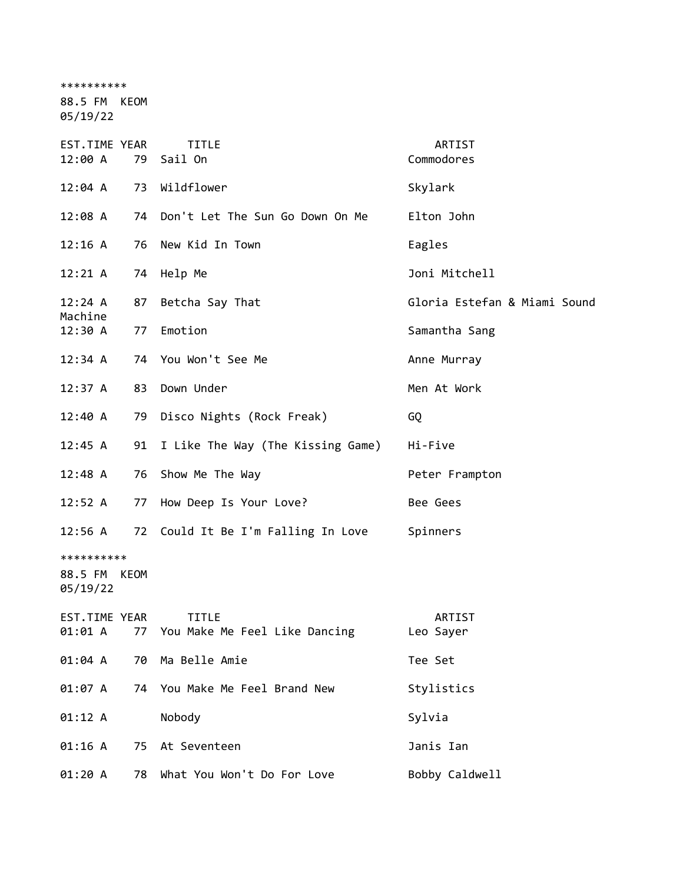\*\*\*\*\*\*\*\*\*\* 88.5 FM KEOM

05/19/22

| EST.TIME YEAR<br>12:00 A               | 79 | <b>TITLE</b><br>Sail On                       | ARTIST<br>Commodores         |
|----------------------------------------|----|-----------------------------------------------|------------------------------|
| 12:04 A                                | 73 | Wildflower                                    | Skylark                      |
| 12:08A                                 |    | 74 Don't Let The Sun Go Down On Me            | Elton John                   |
| 12:16 A                                | 76 | New Kid In Town                               | Eagles                       |
| 12:21 A                                |    | 74 Help Me                                    | Joni Mitchell                |
| 12:24 A                                | 87 | Betcha Say That                               | Gloria Estefan & Miami Sound |
| Machine<br>12:30 A                     | 77 | Emotion                                       | Samantha Sang                |
| 12:34 A                                |    | 74 You Won't See Me                           | Anne Murray                  |
| 12:37 A                                | 83 | Down Under                                    | Men At Work                  |
| 12:40 A                                | 79 | Disco Nights (Rock Freak)                     | GQ                           |
| 12:45 A                                |    | 91 I Like The Way (The Kissing Game)          | Hi-Five                      |
| 12:48 A                                | 76 | Show Me The Way                               | Peter Frampton               |
| 12:52 A                                | 77 | How Deep Is Your Love?                        | Bee Gees                     |
| 12:56 A                                |    | 72 Could It Be I'm Falling In Love            | Spinners                     |
| **********<br>88.5 FM KEOM<br>05/19/22 |    |                                               |                              |
| <b>EST.TIME YEAR</b><br>01:01 A        | 77 | <b>TITLE</b><br>You Make Me Feel Like Dancing | ARTIST<br>Leo Sayer          |
| 01:04 A                                | 70 | Ma Belle Amie                                 | Tee Set                      |
| 01:07 A                                |    | 74 You Make Me Feel Brand New                 | Stylistics                   |
| 01:12 A                                |    | Nobody                                        | Sylvia                       |
| 01:16 A                                | 75 | At Seventeen                                  | Janis Ian                    |
| 01:20 A                                | 78 | What You Won't Do For Love                    | Bobby Caldwell               |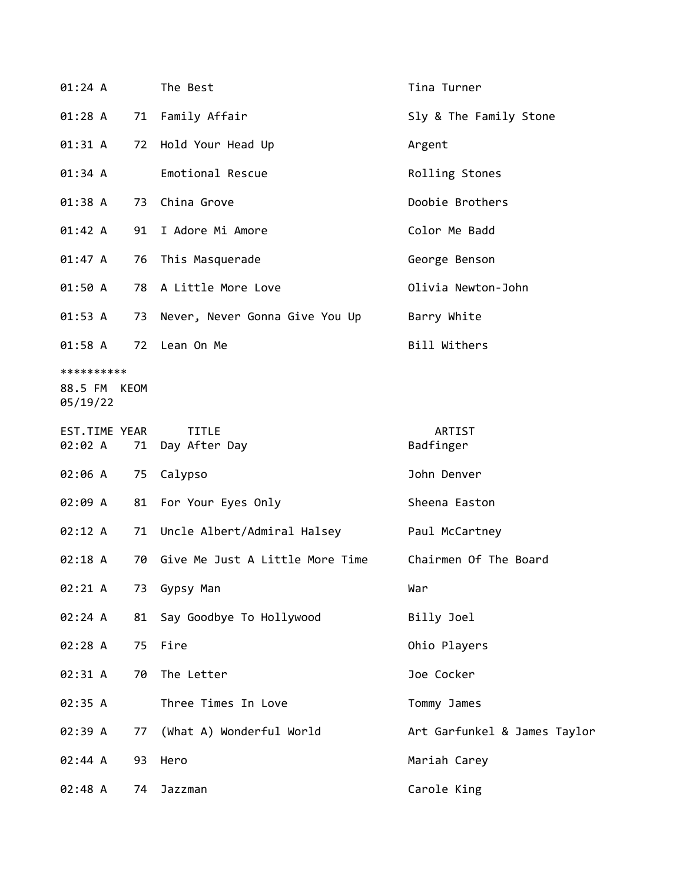| 01:24 A                                |    | The Best                        | Tina Turner                  |
|----------------------------------------|----|---------------------------------|------------------------------|
| 01:28 A                                |    | 71 Family Affair                | Sly & The Family Stone       |
| 01:31 A                                | 72 | Hold Your Head Up               | Argent                       |
| 01:34 A                                |    | Emotional Rescue                | Rolling Stones               |
| 01:38 A                                | 73 | China Grove                     | Doobie Brothers              |
| 01:42 A                                |    | 91 I Adore Mi Amore             | Color Me Badd                |
| 01:47 A                                | 76 | This Masquerade                 | George Benson                |
| 01:50 A                                |    | 78 A Little More Love           | Olivia Newton-John           |
| 01:53 A                                | 73 | Never, Never Gonna Give You Up  | Barry White                  |
| 01:58 A                                | 72 | Lean On Me                      | Bill Withers                 |
| **********<br>88.5 FM KEOM<br>05/19/22 |    |                                 |                              |
| EST.TIME YEAR<br>02:02 A               | 71 | <b>TITLE</b><br>Day After Day   | ARTIST<br>Badfinger          |
| 02:06 A                                | 75 | Calypso                         | John Denver                  |
| 02:09 A                                | 81 | For Your Eyes Only              | Sheena Easton                |
| 02:12 A                                |    | 71 Uncle Albert/Admiral Halsey  | Paul McCartney               |
| 02:18 A                                | 70 | Give Me Just A Little More Time | Chairmen Of The Board        |
| 02:21 A                                |    | 73 Gypsy Man                    | War                          |
| 02:24 A                                | 81 | Say Goodbye To Hollywood        | Billy Joel                   |
| 02:28 A                                | 75 | Fire                            | Ohio Players                 |
| 02:31 A                                | 70 | The Letter                      | Joe Cocker                   |
| 02:35 A                                |    | Three Times In Love             | Tommy James                  |
| 02:39 A                                | 77 | (What A) Wonderful World        | Art Garfunkel & James Taylor |
| 02:44 A                                | 93 | Hero                            | Mariah Carey                 |
| 02:48 A                                | 74 | Jazzman                         | Carole King                  |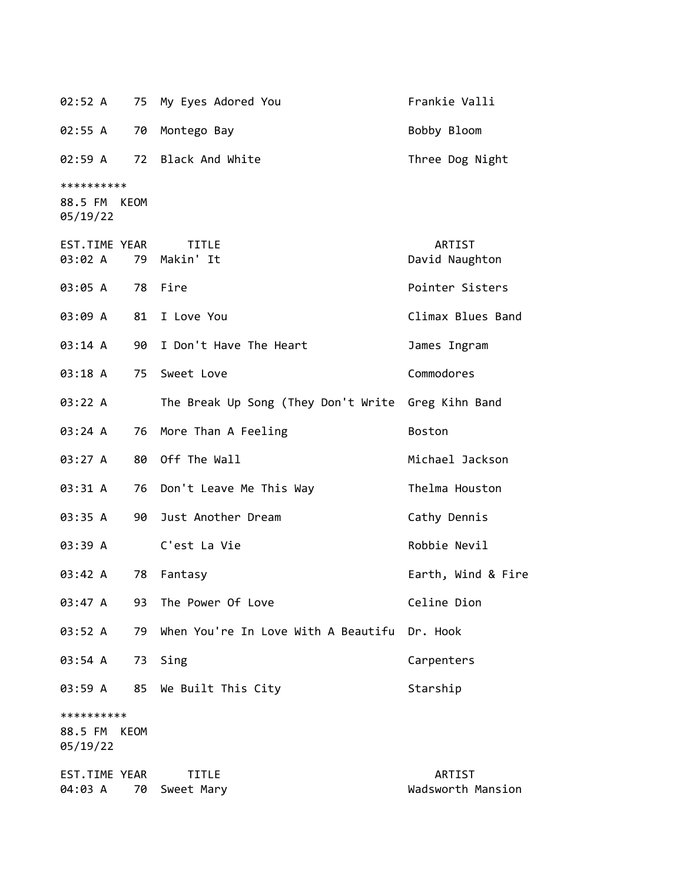| 02:52 A                                |      | 75 My Eyes Adored You                              | Frankie Valli               |
|----------------------------------------|------|----------------------------------------------------|-----------------------------|
| 02:55 A                                | 70   | Montego Bay                                        | Bobby Bloom                 |
| 02:59 A                                |      | 72 Black And White                                 | Three Dog Night             |
| **********<br>88.5 FM KEOM<br>05/19/22 |      |                                                    |                             |
| EST.TIME YEAR<br>03:02 A               |      | <b>TITLE</b><br>79 Makin' It                       | ARTIST<br>David Naughton    |
| 03:05 A                                |      | 78 Fire                                            | Pointer Sisters             |
| 03:09 A                                |      | 81 I Love You                                      | Climax Blues Band           |
| 03:14 A                                | 90   | I Don't Have The Heart                             | James Ingram                |
| 03:18 A                                |      | 75 Sweet Love                                      | Commodores                  |
| 03:22 A                                |      | The Break Up Song (They Don't Write Greg Kihn Band |                             |
| 03:24 A                                | 76   | More Than A Feeling                                | Boston                      |
| 03:27 A                                |      | 80 Off The Wall                                    | Michael Jackson             |
| 03:31 A                                |      | 76 Don't Leave Me This Way                         | Thelma Houston              |
| 03:35 A                                |      | 90 Just Another Dream                              | Cathy Dennis                |
| 03:39 A                                |      | C'est La Vie                                       | Robbie Nevil                |
| 03:42 A                                | 78   | Fantasy                                            | Earth, Wind & Fire          |
| 03:47 A                                | 93   | The Power Of Love                                  | Celine Dion                 |
| 03:52 A                                | 79   | When You're In Love With A Beautifu Dr. Hook       |                             |
| 03:54 A                                | 73   | Sing                                               | Carpenters                  |
| 03:59 A                                |      | 85 We Built This City                              | Starship                    |
| **********                             |      |                                                    |                             |
| 88.5 FM<br>05/19/22                    | KEOM |                                                    |                             |
| EST.TIME YEAR<br>04:03 A               | 70   | TITLE<br>Sweet Mary                                | ARTIST<br>Wadsworth Mansion |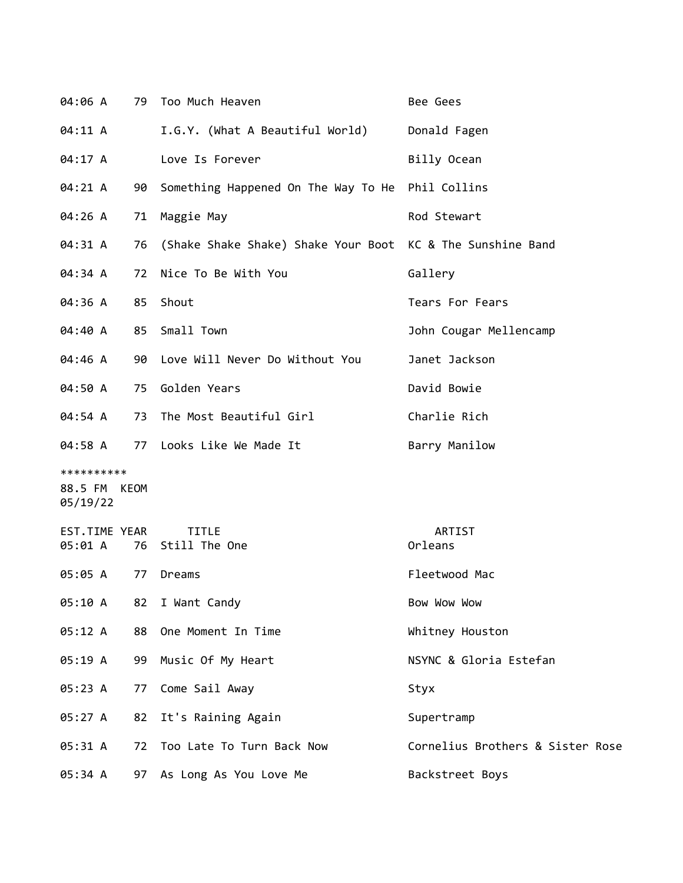| 04:06 A                                |    | 79 Too Much Heaven                                         | Bee Gees                         |
|----------------------------------------|----|------------------------------------------------------------|----------------------------------|
| 04:11 A                                |    | I.G.Y. (What A Beautiful World)                            | Donald Fagen                     |
| 04:17 A                                |    | Love Is Forever                                            | Billy Ocean                      |
| 04:21 A                                | 90 | Something Happened On The Way To He Phil Collins           |                                  |
| 04:26 A                                | 71 | Maggie May                                                 | Rod Stewart                      |
| 04:31 A                                | 76 | (Shake Shake Shake) Shake Your Boot KC & The Sunshine Band |                                  |
| 04:34 A                                | 72 | Nice To Be With You                                        | Gallery                          |
| 04:36 A                                | 85 | Shout                                                      | Tears For Fears                  |
| 04:40 A                                | 85 | Small Town                                                 | John Cougar Mellencamp           |
| 04:46 A                                | 90 | Love Will Never Do Without You                             | Janet Jackson                    |
| 04:50 A                                | 75 | Golden Years                                               | David Bowie                      |
| 04:54 A                                | 73 | The Most Beautiful Girl                                    | Charlie Rich                     |
| 04:58 A                                | 77 | Looks Like We Made It                                      | Barry Manilow                    |
| **********<br>88.5 FM KEOM<br>05/19/22 |    |                                                            |                                  |
| EST.TIME YEAR<br>05:01 A               | 76 | <b>TITLE</b><br>Still The One                              | ARTIST<br>Orleans                |
| 05:05 A                                | 77 | Dreams                                                     | Fleetwood Mac                    |
| 05:10 A                                | 82 | I Want Candy                                               | Bow Wow Wow                      |
| 05:12 A                                | 88 | One Moment In Time                                         | Whitney Houston                  |
| 05:19 A                                | 99 | Music Of My Heart                                          | NSYNC & Gloria Estefan           |
| 05:23 A                                | 77 | Come Sail Away                                             | Styx                             |
| 05:27 A                                | 82 | It's Raining Again                                         | Supertramp                       |
| 05:31 A                                | 72 | Too Late To Turn Back Now                                  | Cornelius Brothers & Sister Rose |
| 05:34 A                                | 97 | As Long As You Love Me                                     | Backstreet Boys                  |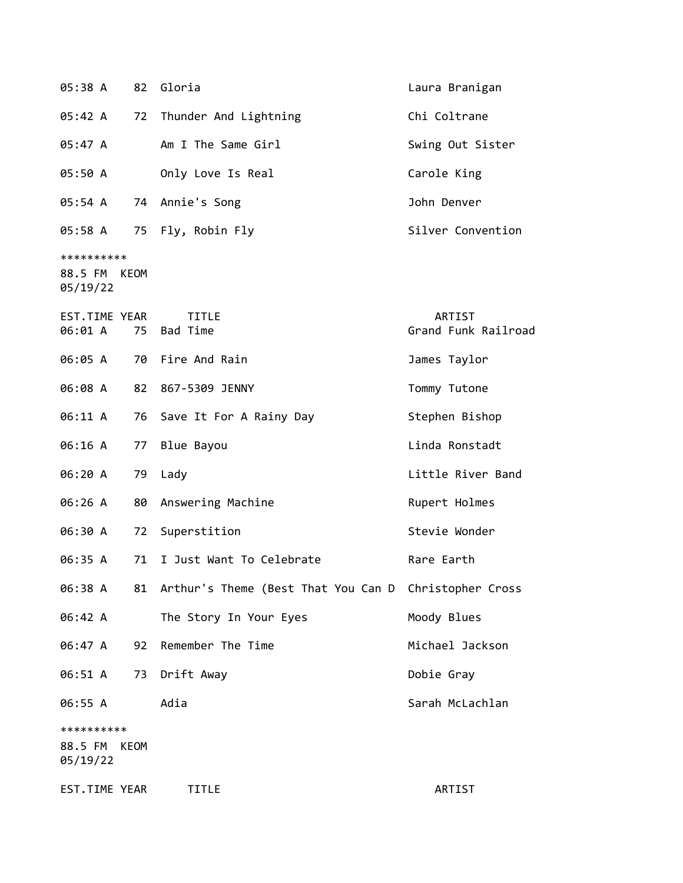| 05:38 A                                |    | 82 Gloria                                                | Laura Branigan                |
|----------------------------------------|----|----------------------------------------------------------|-------------------------------|
| 05:42 A                                | 72 | Thunder And Lightning                                    | Chi Coltrane                  |
| 05:47 A                                |    | Am I The Same Girl                                       | Swing Out Sister              |
| 05:50 A                                |    | Only Love Is Real                                        | Carole King                   |
| 05:54 A                                |    | 74 Annie's Song                                          | John Denver                   |
|                                        |    | 05:58 A 75 Fly, Robin Fly                                | Silver Convention             |
| **********<br>88.5 FM KEOM<br>05/19/22 |    |                                                          |                               |
| EST.TIME YEAR<br>06:01 A               | 75 | <b>TITLE</b><br>Bad Time                                 | ARTIST<br>Grand Funk Railroad |
| 06:05 A                                |    | 70 Fire And Rain                                         | James Taylor                  |
| 06:08 A                                |    | 82 867-5309 JENNY                                        | Tommy Tutone                  |
| 06:11 A                                |    | 76 Save It For A Rainy Day                               | Stephen Bishop                |
| 06:16 A                                | 77 | Blue Bayou                                               | Linda Ronstadt                |
| 06:20 A                                |    | 79 Lady                                                  | Little River Band             |
| 06:26 A                                | 80 | Answering Machine                                        | Rupert Holmes                 |
| 06:30 A                                | 72 | Superstition                                             | Stevie Wonder                 |
| 06:35 A                                | 71 | I Just Want To Celebrate                                 | Rare Earth                    |
| 06:38 A                                |    | 81 Arthur's Theme (Best That You Can D Christopher Cross |                               |
| 06:42 A                                |    | The Story In Your Eyes                                   | Moody Blues                   |
| 06:47 A                                | 92 | Remember The Time                                        | Michael Jackson               |
| 06:51 A                                |    | 73 Drift Away                                            | Dobie Gray                    |
| 06:55 A                                |    | Adia                                                     | Sarah McLachlan               |
| **********<br>88.5 FM KEOM<br>05/19/22 |    |                                                          |                               |
| EST.TIME YEAR                          |    | TITLE                                                    | ARTIST                        |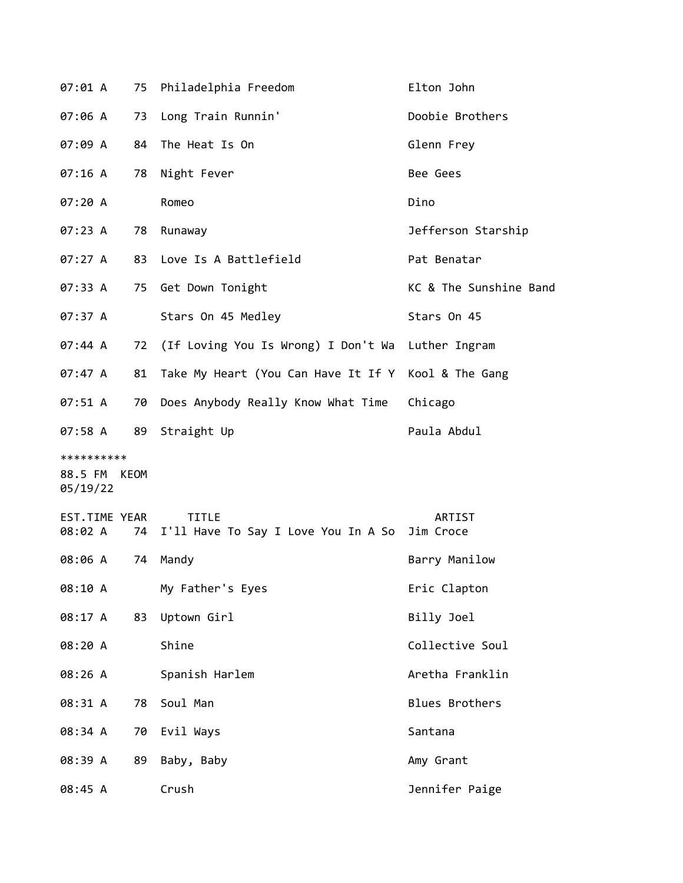| 07:01 A                           | 75   | Philadelphia Freedom                                          | Elton John             |
|-----------------------------------|------|---------------------------------------------------------------|------------------------|
| 07:06 A                           | 73   | Long Train Runnin'                                            | Doobie Brothers        |
| 07:09 A                           | 84   | The Heat Is On                                                | Glenn Frey             |
| 07:16A                            | 78   | Night Fever                                                   | Bee Gees               |
| 07:20 A                           |      | Romeo                                                         | Dino                   |
| 07:23 A                           | 78   | Runaway                                                       | Jefferson Starship     |
| 07:27 A                           | 83   | Love Is A Battlefield                                         | Pat Benatar            |
| 07:33 A                           | 75   | Get Down Tonight                                              | KC & The Sunshine Band |
| 07:37 A                           |      | Stars On 45 Medley                                            | Stars On 45            |
| 07:44 A                           | 72   | (If Loving You Is Wrong) I Don't Wa                           | Luther Ingram          |
| 07:47 A                           | 81   | Take My Heart (You Can Have It If Y                           | Kool & The Gang        |
| 07:51 A                           | 70   | Does Anybody Really Know What Time                            | Chicago                |
| 07:58 A                           | 89   | Straight Up                                                   | Paula Abdul            |
| **********<br>88.5 FM<br>05/19/22 | KEOM |                                                               |                        |
| EST.TIME YEAR<br>08:02 A          | 74   | <b>TITLE</b><br>I'll Have To Say I Love You In A So Jim Croce | ARTIST                 |
| 08:06 A                           | 74   | Mandy                                                         | Barry Manilow          |
| 08:10 A                           |      | My Father's Eyes                                              | Eric Clapton           |
| 08:17 A                           | 83   | Uptown Girl                                                   | Billy Joel             |
| 08:20 A                           |      | Shine                                                         | Collective Soul        |
| 08:26 A                           |      | Spanish Harlem                                                | Aretha Franklin        |
| 08:31 A                           | 78   | Soul Man                                                      | <b>Blues Brothers</b>  |
| 08:34 A                           | 70   | Evil Ways                                                     | Santana                |
| 08:39 A                           | 89   | Baby, Baby                                                    | Amy Grant              |
| 08:45 A                           |      | Crush                                                         | Jennifer Paige         |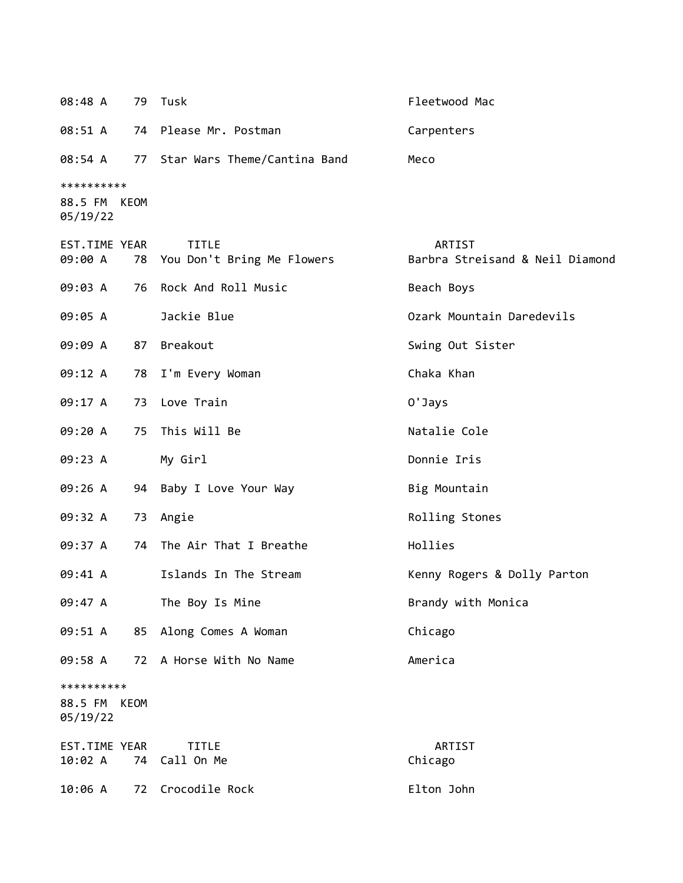| 08:48 A                                | 79 | Tusk                                          | Fleetwood Mac                             |
|----------------------------------------|----|-----------------------------------------------|-------------------------------------------|
| 08:51 A                                |    | 74 Please Mr. Postman                         | Carpenters                                |
| 08:54 A                                |    | 77 Star Wars Theme/Cantina Band               | Meco                                      |
| **********<br>88.5 FM KEOM<br>05/19/22 |    |                                               |                                           |
| EST.TIME YEAR<br>09:00 A               |    | <b>TITLE</b><br>78 You Don't Bring Me Flowers | ARTIST<br>Barbra Streisand & Neil Diamond |
| 09:03 A                                |    | 76 Rock And Roll Music                        | Beach Boys                                |
| 09:05 A                                |    | Jackie Blue                                   | Ozark Mountain Daredevils                 |
| 09:09 A                                | 87 | Breakout                                      | Swing Out Sister                          |
| 09:12 A                                | 78 | I'm Every Woman                               | Chaka Khan                                |
| 09:17 A                                | 73 | Love Train                                    | 0'Jays                                    |
| 09:20 A                                | 75 | This Will Be                                  | Natalie Cole                              |
| 09:23 A                                |    | My Girl                                       | Donnie Iris                               |
| 09:26 A                                | 94 | Baby I Love Your Way                          | Big Mountain                              |
| 09:32 A                                | 73 | Angie                                         | Rolling Stones                            |
| 09:37 A                                |    | 74 The Air That I Breathe                     | Hollies                                   |
| 09:41 A                                |    | Islands In The Stream                         | Kenny Rogers & Dolly Parton               |
| 09:47 A                                |    | The Boy Is Mine                               | Brandy with Monica                        |
| 09:51 A                                |    | 85 Along Comes A Woman                        | Chicago                                   |
| 09:58 A                                | 72 | A Horse With No Name                          | America                                   |
| **********<br>88.5 FM KEOM<br>05/19/22 |    |                                               |                                           |
| EST.TIME YEAR<br>10:02 A               | 74 | <b>TITLE</b><br>Call On Me                    | ARTIST<br>Chicago                         |
| 10:06 A                                | 72 | Crocodile Rock                                | Elton John                                |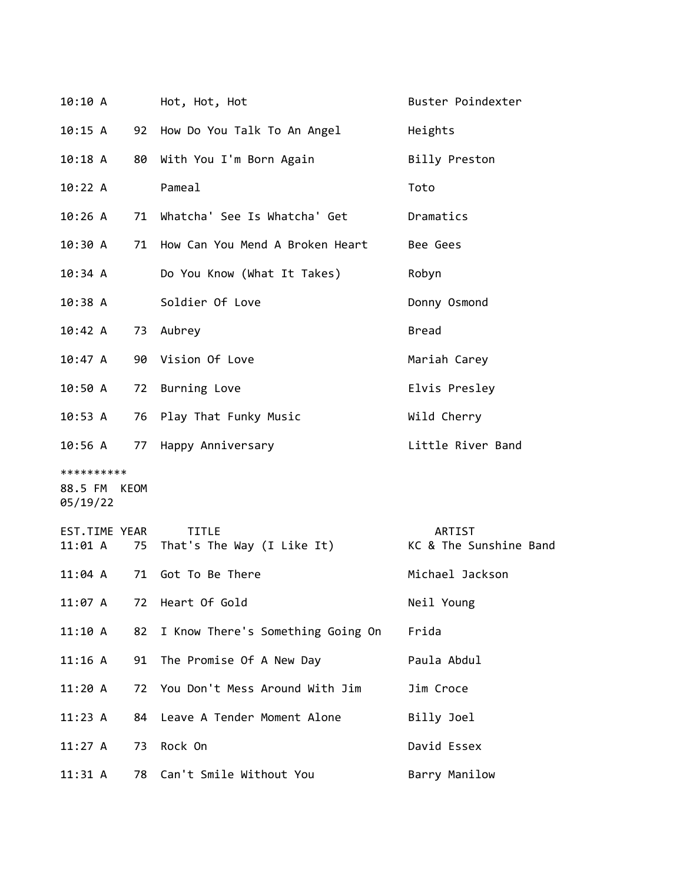| 10:10 A                                |    | Hot, Hot, Hot                                 | Buster Poindexter                |
|----------------------------------------|----|-----------------------------------------------|----------------------------------|
| 10:15 A                                |    | 92 How Do You Talk To An Angel                | Heights                          |
| 10:18 A                                |    | 80 With You I'm Born Again                    | Billy Preston                    |
| 10:22 A                                |    | Pameal                                        | Toto                             |
| 10:26A                                 |    | 71 Whatcha' See Is Whatcha' Get               | Dramatics                        |
| 10:30 A                                |    | 71 How Can You Mend A Broken Heart            | Bee Gees                         |
| 10:34 A                                |    | Do You Know (What It Takes)                   | Robyn                            |
| 10:38 A                                |    | Soldier Of Love                               | Donny Osmond                     |
| 10:42 A                                |    | 73 Aubrey                                     | <b>Bread</b>                     |
| 10:47 A                                |    | 90 Vision Of Love                             | Mariah Carey                     |
| 10:50 A                                | 72 | Burning Love                                  | Elvis Presley                    |
| 10:53 A                                |    | 76 Play That Funky Music                      | Wild Cherry                      |
| 10:56 A                                |    | 77 Happy Anniversary                          | Little River Band                |
| **********<br>88.5 FM KEOM<br>05/19/22 |    |                                               |                                  |
| EST.TIME YEAR<br>11:01 A               |    | <b>TITLE</b><br>75 That's The Way (I Like It) | ARTIST<br>KC & The Sunshine Band |
| 11:04 A                                | 71 | Got To Be There                               | Michael Jackson                  |
| 11:07 A                                | 72 | Heart Of Gold                                 | Neil Young                       |
| 11:10 A                                | 82 | I Know There's Something Going On             | Frida                            |
| 11:16 A                                | 91 | The Promise Of A New Day                      | Paula Abdul                      |
| 11:20A                                 | 72 | You Don't Mess Around With Jim                | Jim Croce                        |
| 11:23 A                                | 84 | Leave A Tender Moment Alone                   | Billy Joel                       |
| 11:27 A                                | 73 | Rock On                                       | David Essex                      |
| $11:31 \; A$                           | 78 | Can't Smile Without You                       | Barry Manilow                    |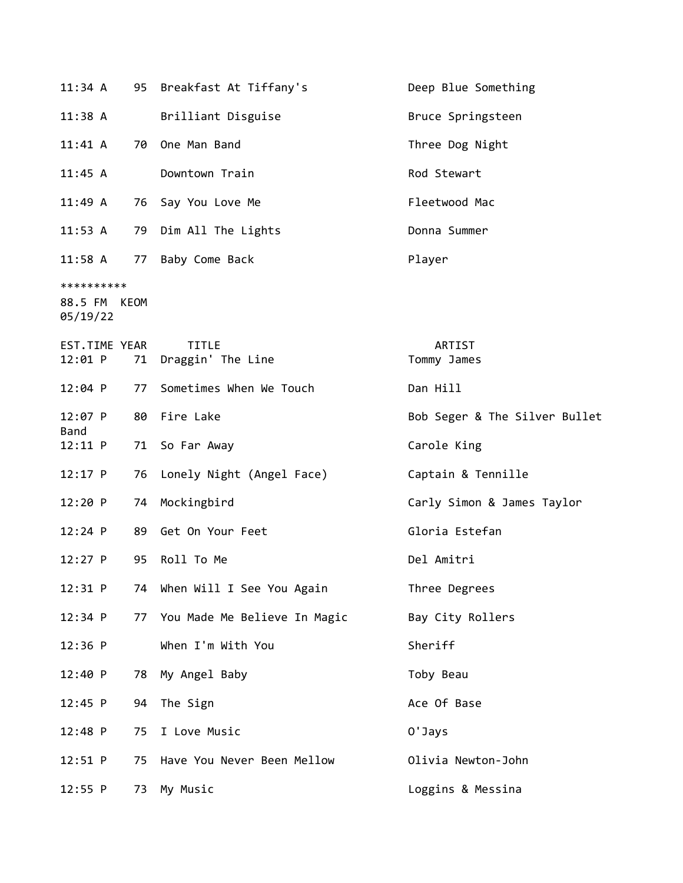| 11:34 A                                |    | 95 Breakfast At Tiffany's         | Deep Blue Something           |
|----------------------------------------|----|-----------------------------------|-------------------------------|
| 11:38 A                                |    | Brilliant Disguise                | Bruce Springsteen             |
| $11:41 \text{ A}$                      |    | 70 One Man Band                   | Three Dog Night               |
| 11:45 A                                |    | Downtown Train                    | Rod Stewart                   |
| 11:49A                                 |    | 76 Say You Love Me                | Fleetwood Mac                 |
| 11:53 A                                |    | 79 Dim All The Lights             | Donna Summer                  |
| 11:58 A                                |    | 77 Baby Come Back                 | Player                        |
| **********<br>88.5 FM KEOM<br>05/19/22 |    |                                   |                               |
| EST.TIME YEAR<br>12:01 P               | 71 | <b>TITLE</b><br>Draggin' The Line | ARTIST<br>Tommy James         |
| $12:04$ P                              | 77 | Sometimes When We Touch           | Dan Hill                      |
| $12:07$ P<br>Band                      |    | 80 Fire Lake                      | Bob Seger & The Silver Bullet |
| 12:11 P                                |    | 71 So Far Away                    | Carole King                   |
| $12:17$ P                              |    | 76 Lonely Night (Angel Face)      | Captain & Tennille            |
| 12:20 P                                | 74 | Mockingbird                       | Carly Simon & James Taylor    |
| 12:24 P                                | 89 | Get On Your Feet                  | Gloria Estefan                |
| $12:27$ P                              | 95 | Roll To Me                        | Del Amitri                    |
| 12:31 P                                |    | 74 When Will I See You Again      | Three Degrees                 |
| 12:34 P                                | 77 | You Made Me Believe In Magic      | Bay City Rollers              |
| 12:36 P                                |    | When I'm With You                 | Sheriff                       |
| 12:40 P                                | 78 | My Angel Baby                     | Toby Beau                     |
| $12:45$ P                              | 94 | The Sign                          | Ace Of Base                   |
| $12:48$ P                              | 75 | I Love Music                      | 0'Jays                        |
| $12:51$ P                              | 75 | Have You Never Been Mellow        | Olivia Newton-John            |
| 12:55 P                                | 73 | My Music                          | Loggins & Messina             |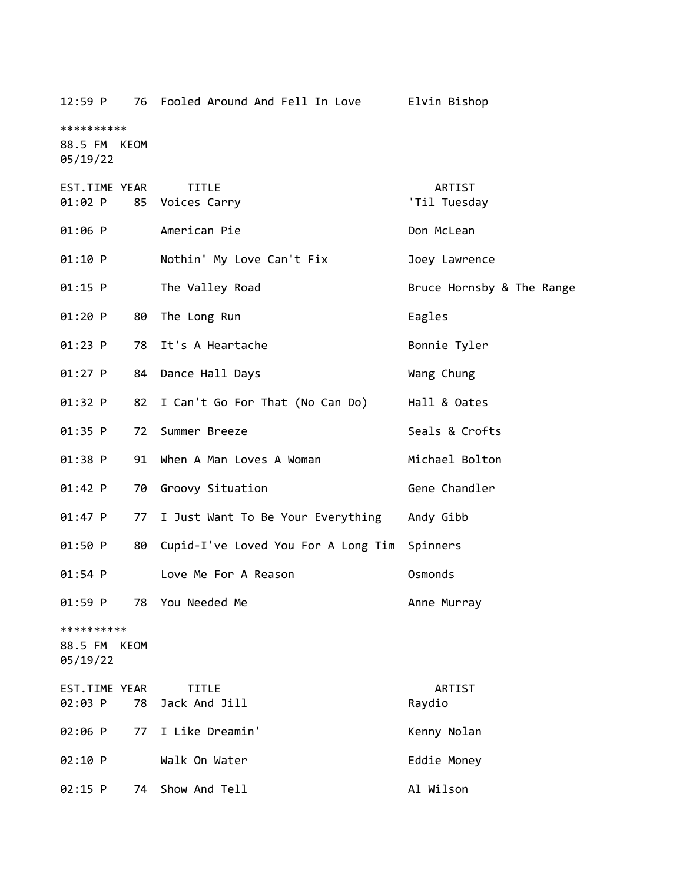| 12:59 P                                   | 76 Fooled Around And Fell In Love   | Elvin Bishop              |
|-------------------------------------------|-------------------------------------|---------------------------|
| **********<br>88.5 FM KEOM<br>05/19/22    |                                     |                           |
| EST.TIME YEAR<br>$01:02$ P                | <b>TITLE</b><br>85 Voices Carry     | ARTIST<br>'Til Tuesday    |
| 01:06 P                                   | American Pie                        | Don McLean                |
| 01:10 P                                   | Nothin' My Love Can't Fix           | Joey Lawrence             |
| $01:15$ P                                 | The Valley Road                     | Bruce Hornsby & The Range |
| 01:20 P<br>80                             | The Long Run                        | Eagles                    |
| $01:23$ P                                 | 78 It's A Heartache                 | Bonnie Tyler              |
| $01:27$ P                                 | 84 Dance Hall Days                  | Wang Chung                |
| 01:32 P<br>82                             | I Can't Go For That (No Can Do)     | Hall & Oates              |
| 01:35 P<br>72                             | Summer Breeze                       | Seals & Crofts            |
| 01:38 P<br>91                             | When A Man Loves A Woman            | Michael Bolton            |
| 01:42 P<br>70                             | Groovy Situation                    | Gene Chandler             |
| 01:47 P<br>77                             | I Just Want To Be Your Everything   | Andy Gibb                 |
| 01:50 P<br>80                             | Cupid-I've Loved You For A Long Tim | Spinners                  |
| $01:54$ P                                 | Love Me For A Reason                | Osmonds                   |
| 01:59 P<br>78                             | You Needed Me                       | Anne Murray               |
| **********<br>88.5 FM<br>KEOM<br>05/19/22 |                                     |                           |
| EST.TIME YEAR<br>02:03 P<br>78            | <b>TITLE</b><br>Jack And Jill       | ARTIST<br>Raydio          |
| 02:06 P<br>77                             | I Like Dreamin'                     | Kenny Nolan               |
| 02:10 P                                   | Walk On Water                       | Eddie Money               |
| 02:15 P<br>74                             | Show And Tell                       | Al Wilson                 |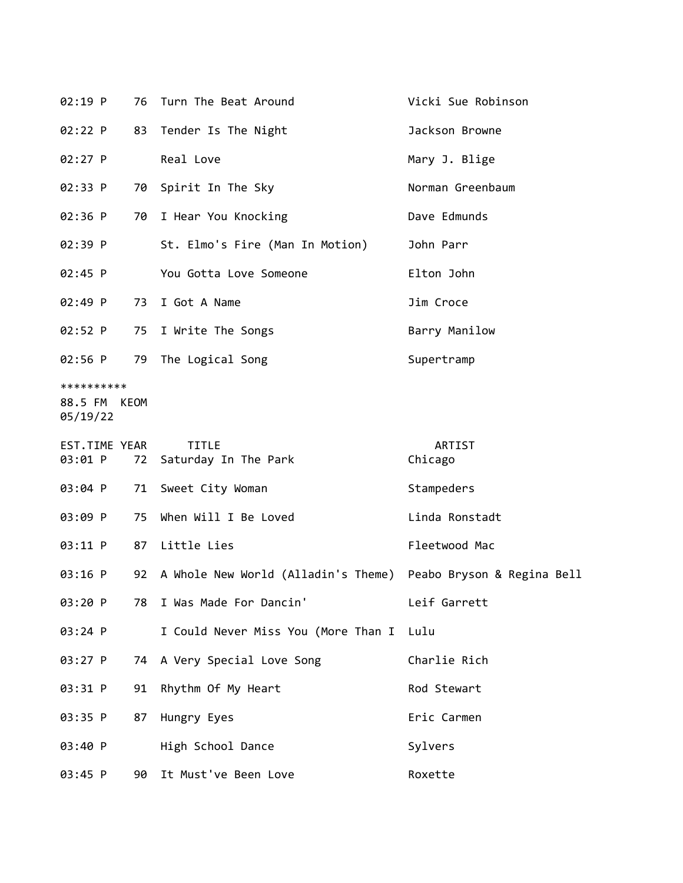| 02:19 P                           | 76   | Turn The Beat Around                                           | Vicki Sue Robinson |
|-----------------------------------|------|----------------------------------------------------------------|--------------------|
| 02:22 P                           | 83   | Tender Is The Night                                            | Jackson Browne     |
| 02:27 P                           |      | Real Love                                                      | Mary J. Blige      |
| 02:33 P                           | 70   | Spirit In The Sky                                              | Norman Greenbaum   |
| 02:36 P                           | 70   | I Hear You Knocking                                            | Dave Edmunds       |
| 02:39 P                           |      | St. Elmo's Fire (Man In Motion)                                | John Parr          |
| $02:45$ P                         |      | You Gotta Love Someone                                         | Elton John         |
| 02:49 P                           | 73   | I Got A Name                                                   | Jim Croce          |
| 02:52 P                           | 75   | I Write The Songs                                              | Barry Manilow      |
| 02:56 P                           | 79   | The Logical Song                                               | Supertramp         |
| **********<br>88.5 FM<br>05/19/22 | KEOM |                                                                |                    |
| EST.TIME YEAR<br>03:01 P          | 72   | <b>TITLE</b><br>Saturday In The Park                           | ARTIST<br>Chicago  |
| 03:04 P                           | 71   | Sweet City Woman                                               | Stampeders         |
| 03:09 P                           | 75   | When Will I Be Loved                                           | Linda Ronstadt     |
| 03:11 P                           | 87   | Little Lies                                                    | Fleetwood Mac      |
| 03:16 P                           | 92   | A Whole New World (Alladin's Theme) Peabo Bryson & Regina Bell |                    |
| 03:20 P                           | 78   | I Was Made For Dancin'                                         | Leif Garrett       |
| 03:24 P                           |      | I Could Never Miss You (More Than I                            | Lulu               |
| 03:27 P                           |      | 74 A Very Special Love Song                                    | Charlie Rich       |
| 03:31 P                           | 91   | Rhythm Of My Heart                                             | Rod Stewart        |
| 03:35 P                           | 87   | Hungry Eyes                                                    | Eric Carmen        |
| 03:40 P                           |      | High School Dance                                              | Sylvers            |
| 03:45 P                           | 90   | It Must've Been Love                                           | Roxette            |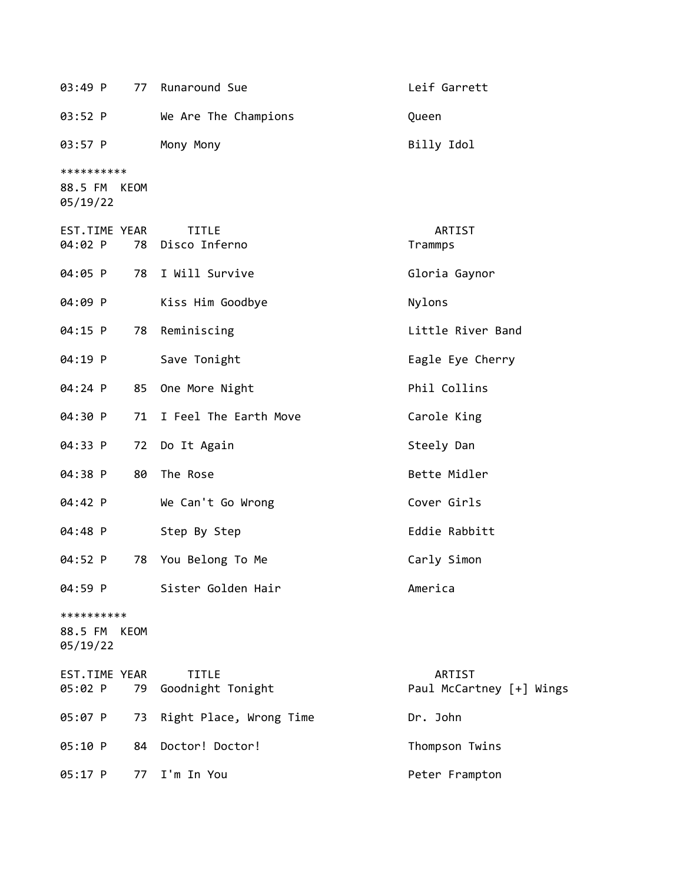| 03:49 P                                   | 77 | Runaround Sue                     | Leif Garrett                       |
|-------------------------------------------|----|-----------------------------------|------------------------------------|
| 03:52 P                                   |    | We Are The Champions              | Queen                              |
| 03:57 P                                   |    | Mony Mony                         | Billy Idol                         |
| **********<br>88.5 FM<br>KEOM<br>05/19/22 |    |                                   |                                    |
| EST.TIME YEAR<br>04:02 P                  | 78 | <b>TITLE</b><br>Disco Inferno     | ARTIST<br>Trammps                  |
| 04:05 P                                   |    | 78 I Will Survive                 | Gloria Gaynor                      |
| 04:09 P                                   |    | Kiss Him Goodbye                  | Nylons                             |
| 04:15 P                                   | 78 | Reminiscing                       | Little River Band                  |
| 04:19 P                                   |    | Save Tonight                      | Eagle Eye Cherry                   |
| 04:24 P                                   | 85 | One More Night                    | Phil Collins                       |
| 04:30 P                                   | 71 | I Feel The Earth Move             | Carole King                        |
| 04:33 P                                   | 72 | Do It Again                       | Steely Dan                         |
| 04:38 P                                   | 80 | The Rose                          | Bette Midler                       |
| 04:42 P                                   |    | We Can't Go Wrong                 | Cover Girls                        |
| 04:48 P                                   |    | Step By Step                      | Eddie Rabbitt                      |
| 04:52 P                                   | 78 | You Belong To Me                  | Carly Simon                        |
| 04:59 P                                   |    | Sister Golden Hair                | America                            |
| **********<br>88.5 FM KEOM<br>05/19/22    |    |                                   |                                    |
| EST.TIME YEAR<br>05:02 P                  | 79 | <b>TITLE</b><br>Goodnight Tonight | ARTIST<br>Paul McCartney [+] Wings |
| 05:07 P                                   | 73 | Right Place, Wrong Time           | Dr. John                           |
| 05:10 P                                   | 84 | Doctor! Doctor!                   | Thompson Twins                     |
| 05:17 P                                   | 77 | I'm In You                        | Peter Frampton                     |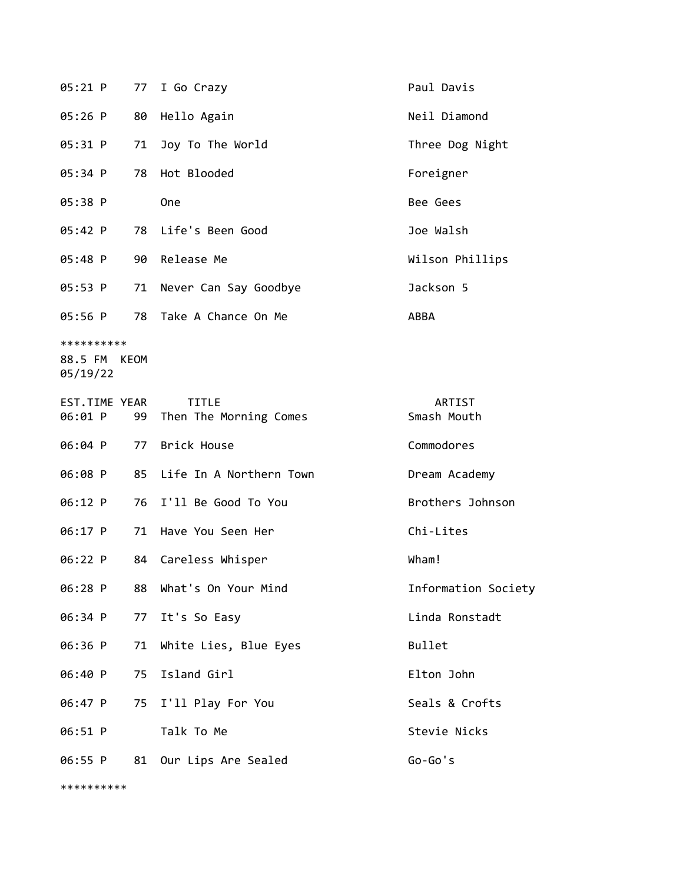| 05:21 P                                | 77 | I Go Crazy                             | Paul Davis            |
|----------------------------------------|----|----------------------------------------|-----------------------|
| $05:26$ P                              | 80 | Hello Again                            | Neil Diamond          |
| 05:31 P                                | 71 | Joy To The World                       | Three Dog Night       |
| 05:34 P                                | 78 | Hot Blooded                            | Foreigner             |
| 05:38 P                                |    | One                                    | Bee Gees              |
| 05:42 P                                |    | 78 Life's Been Good                    | Joe Walsh             |
| 05:48 P                                | 90 | Release Me                             | Wilson Phillips       |
| 05:53 P                                | 71 | Never Can Say Goodbye                  | Jackson 5             |
| 05:56 P                                | 78 | Take A Chance On Me                    | ABBA                  |
| **********<br>88.5 FM KEOM<br>05/19/22 |    |                                        |                       |
| EST.TIME YEAR<br>06:01 P               | 99 | <b>TITLE</b><br>Then The Morning Comes | ARTIST<br>Smash Mouth |
|                                        |    |                                        |                       |
| 06:04 P                                |    | 77 Brick House                         | Commodores            |
| 06:08 P                                |    | 85 Life In A Northern Town             | Dream Academy         |
| 06:12 P                                | 76 | I'll Be Good To You                    | Brothers Johnson      |
| 06:17 P                                | 71 | Have You Seen Her                      | Chi-Lites             |
| 06:22 P                                | 84 | Careless Whisper                       | Wham!                 |
| 06:28 P                                |    | 88 What's On Your Mind                 | Information Society   |
| 06:34 P                                | 77 | It's So Easy                           | Linda Ronstadt        |
| 06:36 P                                | 71 | White Lies, Blue Eyes                  | Bullet                |
| 06:40 P                                | 75 | Island Girl                            | Elton John            |
| 06:47 P                                |    | 75 I'll Play For You                   | Seals & Crofts        |
| 06:51 P                                |    | Talk To Me                             | Stevie Nicks          |

\*\*\*\*\*\*\*\*\*\*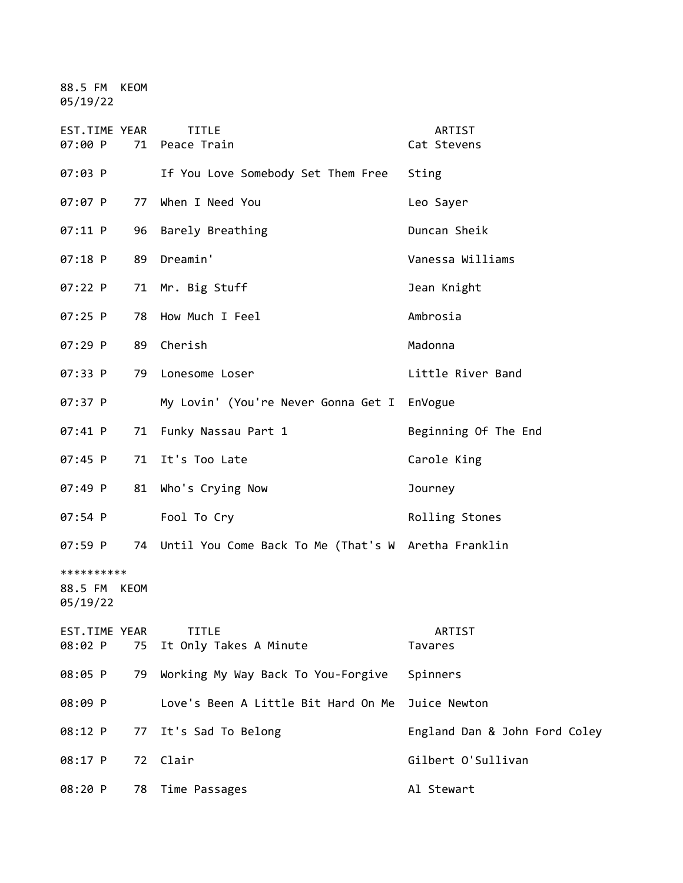88.5 FM KEOM 05/19/22

| EST.TIME YEAR<br>07:00 P               | 71 | <b>TITLE</b><br>Peace Train                            | ARTIST<br>Cat Stevens         |
|----------------------------------------|----|--------------------------------------------------------|-------------------------------|
| 07:03 P                                |    | If You Love Somebody Set Them Free                     | Sting                         |
| 07:07 P                                | 77 | When I Need You                                        | Leo Sayer                     |
| 07:11 P                                | 96 | Barely Breathing                                       | Duncan Sheik                  |
| 07:18 P                                | 89 | Dreamin'                                               | Vanessa Williams              |
| 07:22 P                                | 71 | Mr. Big Stuff                                          | Jean Knight                   |
| 07:25 P                                | 78 | How Much I Feel                                        | Ambrosia                      |
| 07:29 P                                | 89 | Cherish                                                | Madonna                       |
| 07:33 P                                | 79 | Lonesome Loser                                         | Little River Band             |
| 07:37 P                                |    | My Lovin' (You're Never Gonna Get I                    | EnVogue                       |
| 07:41 P                                | 71 | Funky Nassau Part 1                                    | Beginning Of The End          |
| 07:45 P                                | 71 | It's Too Late                                          | Carole King                   |
| 07:49 P                                | 81 | Who's Crying Now                                       | Journey                       |
| 07:54 P                                |    | Fool To Cry                                            | Rolling Stones                |
| 07:59 P                                |    | 74 Until You Come Back To Me (That's W Aretha Franklin |                               |
| **********<br>88.5 FM KEOM<br>05/19/22 |    |                                                        |                               |
| EST.TIME YEAR<br>08:02 P               | 75 | <b>TITLE</b><br>It Only Takes A Minute                 | <b>ARTIST</b><br>Tavares      |
| 08:05 P                                | 79 | Working My Way Back To You-Forgive                     | Spinners                      |
| 08:09 P                                |    | Love's Been A Little Bit Hard On Me                    | Juice Newton                  |
| 08:12 P                                | 77 | It's Sad To Belong                                     | England Dan & John Ford Coley |
| 08:17 P                                | 72 | Clair                                                  | Gilbert O'Sullivan            |
| 08:20 P                                | 78 | Time Passages                                          | Al Stewart                    |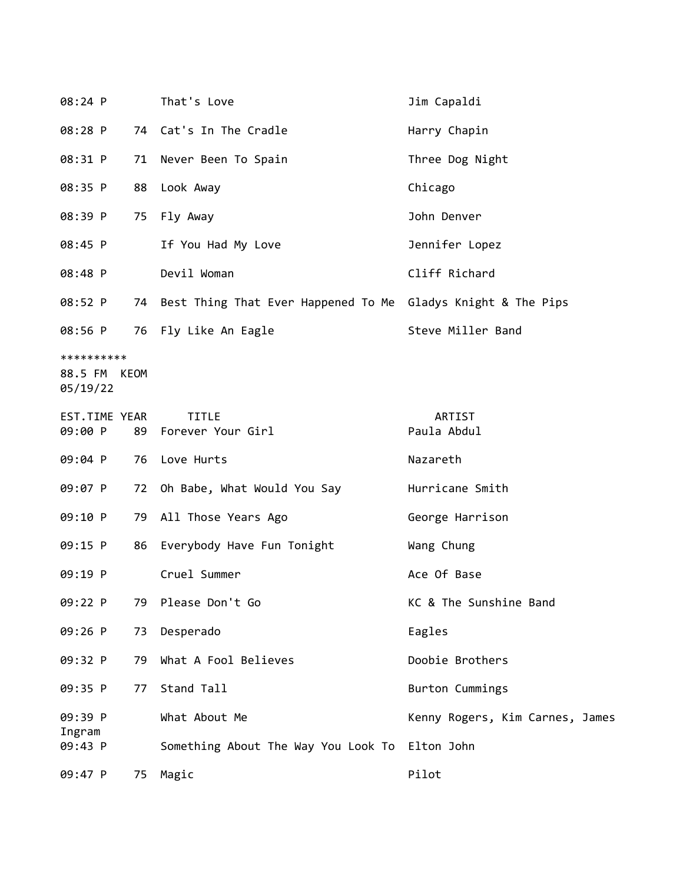| 08:24 P       |    | That's Love                                                     | Jim Capaldi                     |
|---------------|----|-----------------------------------------------------------------|---------------------------------|
| 08:28 P       |    | 74 Cat's In The Cradle                                          | Harry Chapin                    |
| 08:31 P       |    | 71 Never Been To Spain                                          | Three Dog Night                 |
| 08:35 P       |    | 88 Look Away                                                    | Chicago                         |
| 08:39 P       |    | 75 Fly Away                                                     | John Denver                     |
| 08:45 P       |    | If You Had My Love                                              | Jennifer Lopez                  |
| 08:48 P       |    | Devil Woman                                                     | Cliff Richard                   |
| 08:52 P       |    | 74 Best Thing That Ever Happened To Me Gladys Knight & The Pips |                                 |
|               |    | 08:56 P 76 Fly Like An Eagle                                    | Steve Miller Band               |
| **********    |    |                                                                 |                                 |
| 88.5 FM KEOM  |    |                                                                 |                                 |
| 05/19/22      |    |                                                                 |                                 |
|               |    |                                                                 |                                 |
| EST.TIME YEAR |    | <b>TITLE</b>                                                    | ARTIST                          |
| 09:00 P       |    | 89 Forever Your Girl                                            | Paula Abdul                     |
|               |    |                                                                 |                                 |
| 09:04 P       |    | 76 Love Hurts                                                   | Nazareth                        |
| 09:07 P       | 72 | Oh Babe, What Would You Say                                     | Hurricane Smith                 |
| 09:10 P       |    | 79 All Those Years Ago                                          | George Harrison                 |
| 09:15 P       | 86 | Everybody Have Fun Tonight                                      | Wang Chung                      |
| 09:19 P       |    | Cruel Summer                                                    | Ace Of Base                     |
| 09:22 P       | 79 | Please Don't Go                                                 | KC & The Sunshine Band          |
| 09:26 P       | 73 | Desperado                                                       | Eagles                          |
| 09:32 P       | 79 | What A Fool Believes                                            | Doobie Brothers                 |
| 09:35 P       | 77 | Stand Tall                                                      | Burton Cummings                 |
| 09:39 P       |    | What About Me                                                   | Kenny Rogers, Kim Carnes, James |
| Ingram        |    |                                                                 |                                 |
| 09:43 P       |    | Something About The Way You Look To                             | Elton John                      |
| 09:47 P       | 75 | Magic                                                           | Pilot                           |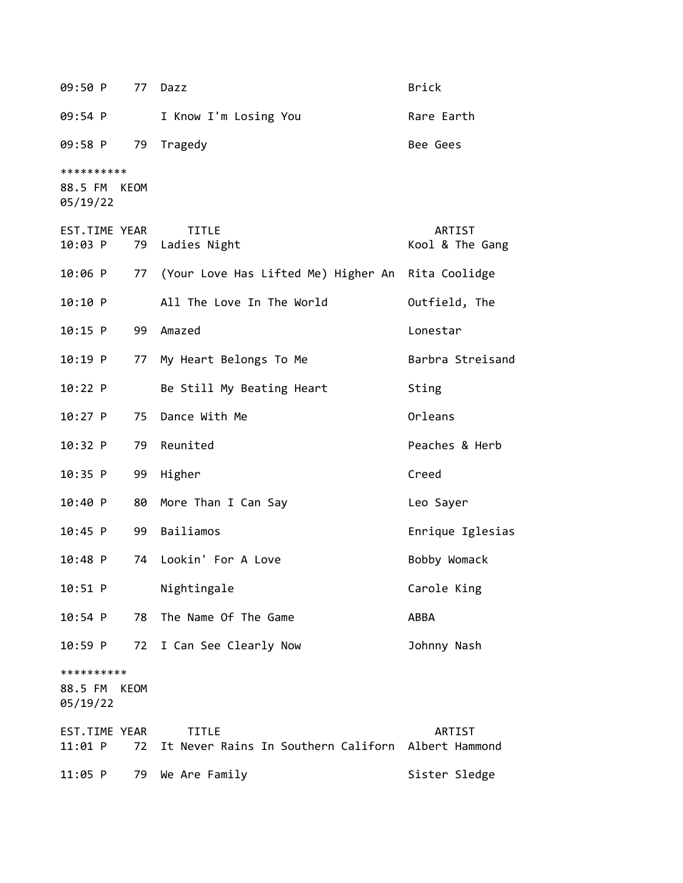09:50 P 77 Dazz Brick 09:54 P I Know I'm Losing You Rare Earth 09:58 P 79 Tragedy Bee Gees \*\*\*\*\*\*\*\*\*\* 88.5 FM KEOM 05/19/22 EST.TIME YEAR TITLE ARTIST 10:03 P 79 Ladies Night Kool & The Gang 10:06 P 77 (Your Love Has Lifted Me) Higher An Rita Coolidge 10:10 P All The Love In The World Outfield, The 10:15 P 99 Amazed Lonestar 10:19 P 77 My Heart Belongs To Me Barbra Streisand 10:22 P Be Still My Beating Heart Sting 10:27 P 75 Dance With Me **Communist Constant Onleans** 10:32 P 79 Reunited Peaches & Herb 10:35 P 99 Higher Creed 10:40 P 80 More Than I Can Say Contract the Sayer 10:45 P 99 Bailiamos Enrique Iglesias 10:48 P 74 Lookin' For A Love Bobby Womack 10:51 P Nightingale Carole King 10:54 P 78 The Name Of The Game ABBA 10:59 P 72 I Can See Clearly Now Johnny Nash \*\*\*\*\*\*\*\*\*\* 88.5 FM KEOM 05/19/22 EST.TIME YEAR TITLE ARTIST 11:01 P 72 It Never Rains In Southern Californ Albert Hammond 11:05 P 79 We Are Family Sister Sledge